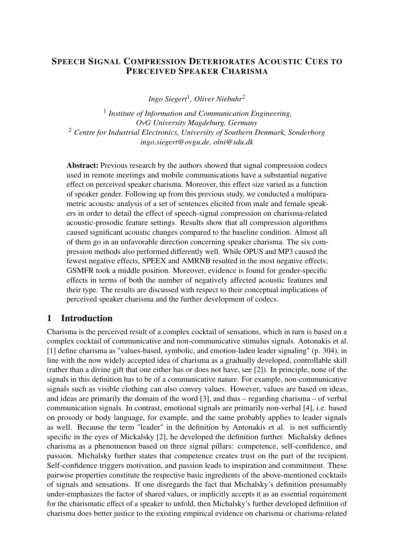#### SPEECH SIGNAL COMPRESSION DETERIORATES ACOUSTIC CUES TO PERCEIVED SPEAKER CHARISMA

*Ingo Siegert*<sup>1</sup> *, Oliver Niebuhr*<sup>2</sup>

1 *Institute of Information and Communication Engineering, OvG University Magdeburg, Germany* <sup>2</sup> *Centre for Industrial Electronics, University of Southern Denmark, Sonderborg [ingo.siegert@ovgu.de, olni@sdu.dk](mailto:ingo.siegert@ovgu.de, olni@sdu.dk)*

Abstract: Previous research by the authors showed that signal compression codecs used in remote meetings and mobile communications have a substantial negative effect on perceived speaker charisma. Moreover, this effect size varied as a function of speaker gender. Following up from this previous study, we conducted a multiparametric acoustic analysis of a set of sentences elicited from male and female speakers in order to detail the effect of speech-signal compression on charisma-related acoustic-prosodic feature settings. Results show that all compression algorithms caused significant acoustic changes compared to the baseline condition. Almost all of them go in an unfavorable direction concerning speaker charisma. The six compression methods also performed differently well. While OPUS and MP3 caused the fewest negative effects, SPEEX and AMRNB resulted in the most negative effects; GSMFR took a middle position. Moreover, evidence is found for gender-specific effects in terms of both the number of negatively affected acoustic features and their type. The results are discussed with respect to their conceptual implications of perceived speaker charisma and the further development of codecs.

# 1 Introduction

Charisma is the perceived result of a complex cocktail of sensations, which in turn is based on a complex cocktail of communicative and non-communicative stimulus signals. Antonakis et al. [\[1\]](#page-7-0) define charisma as "values-based, symbolic, and emotion-laden leader signaling" (p. 304), in line with the now widely accepted idea of charisma as a gradually developed, controllable skill (rather than a divine gift that one either has or does not have, see [\[2\]](#page-7-1)). In principle, none of the signals in this definition has to be of a communicative nature. For example, non-communicative signals such as visible clothing can also convey values. However, values are based on ideas, and ideas are primarily the domain of the word [\[3\]](#page-7-2), and thus – regarding charisma – of verbal communication signals. In contrast, emotional signals are primarily non-verbal [\[4\]](#page-7-3), i.e. based on prosody or body language, for example, and the same probably applies to leader signals as well. Because the term "leader" in the definition by Antonakis et al. is not sufficiently specific in the eyes of Mickalsky [\[2\]](#page-7-1), he developed the definition further. Michalsky defines charisma as a phenomenon based on three signal pillars: competence, self-confidence, and passion. Michalsky further states that competence creates trust on the part of the recipient. Self-confidence triggers motivation, and passion leads to inspiration and commitment. These pairwise properties constitute the respective basic ingredients of the above-mentioned cocktails of signals and sensations. If one disregards the fact that Michalsky's definition presumably under-emphasizes the factor of shared values, or implicitly accepts it as an essential requirement for the charismatic effect of a speaker to unfold, then Michalsky's further developed definition of charisma does better justice to the existing empirical evidence on charisma or charisma-related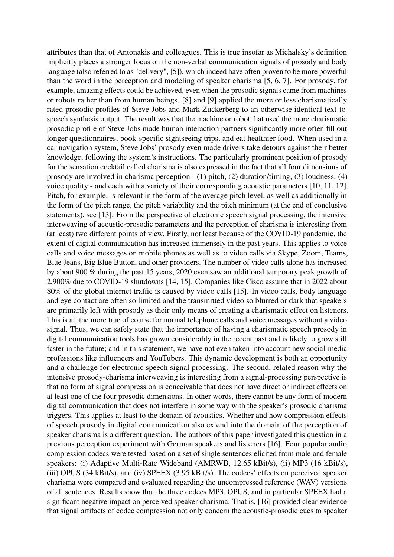attributes than that of Antonakis and colleagues. This is true insofar as Michalsky's definition implicitly places a stronger focus on the non-verbal communication signals of prosody and body language (also referred to as "delivery", [\[5\]](#page-7-4)), which indeed have often proven to be more powerful than the word in the perception and modeling of speaker charisma [\[5,](#page-7-4) [6,](#page-8-0) [7\]](#page-8-1). For prosody, for example, amazing effects could be achieved, even when the prosodic signals came from machines or robots rather than from human beings. [\[8\]](#page-8-2) and [\[9\]](#page-8-3) applied the more or less charismatically rated prosodic profiles of Steve Jobs and Mark Zuckerberg to an otherwise identical text-tospeech synthesis output. The result was that the machine or robot that used the more charismatic prosodic profile of Steve Jobs made human interaction partners significantly more often fill out longer questionnaires, book-specific sightseeing trips, and eat healthier food. When used in a car navigation system, Steve Jobs' prosody even made drivers take detours against their better knowledge, following the system's instructions. The particularly prominent position of prosody for the sensation cocktail called charisma is also expressed in the fact that all four dimensions of prosody are involved in charisma perception - (1) pitch, (2) duration/timing, (3) loudness, (4) voice quality - and each with a variety of their corresponding acoustic parameters [\[10,](#page-8-4) [11,](#page-8-5) [12\]](#page-8-6). Pitch, for example, is relevant in the form of the average pitch level, as well as additionally in the form of the pitch range, the pitch variability and the pitch minimum (at the end of conclusive statements), see [\[13\]](#page-8-7). From the perspective of electronic speech signal processing, the intensive interweaving of acoustic-prosodic parameters and the perception of charisma is interesting from (at least) two different points of view. Firstly, not least because of the COVID-19 pandemic, the extent of digital communication has increased immensely in the past years. This applies to voice calls and voice messages on mobile phones as well as to video calls via Skype, Zoom, Teams, Blue Jeans, Big Blue Button, and other providers. The number of video calls alone has increased by about 900 % during the past 15 years; 2020 even saw an additional temporary peak growth of 2,900% due to COVID-19 shutdowns [\[14,](#page-8-8) [15\]](#page-8-9). Companies like Cisco assume that in 2022 about 80% of the global internet traffic is caused by video calls [\[15\]](#page-8-9). In video calls, body language and eye contact are often so limited and the transmitted video so blurred or dark that speakers are primarily left with prosody as their only means of creating a charismatic effect on listeners. This is all the more true of course for normal telephone calls and voice messages without a video signal. Thus, we can safely state that the importance of having a charismatic speech prosody in digital communication tools has grown considerably in the recent past and is likely to grow still faster in the future; and in this statement, we have not even taken into account new social-media professions like influencers and YouTubers. This dynamic development is both an opportunity and a challenge for electronic speech signal processing. The second, related reason why the intensive prosody-charisma interweaving is interesting from a signal-processing perspective is that no form of signal compression is conceivable that does not have direct or indirect effects on at least one of the four prosodic dimensions. In other words, there cannot be any form of modern digital communication that does not interfere in some way with the speaker's prosodic charisma triggers. This applies at least to the domain of acoustics. Whether and how compression effects of speech prosody in digital communication also extend into the domain of the perception of speaker charisma is a different question. The authors of this paper investigated this question in a previous perception experiment with German speakers and listeners [\[16\]](#page-8-10). Four popular audio compression codecs were tested based on a set of single sentences elicited from male and female speakers: (i) Adaptive Multi-Rate Wideband (AMRWB, 12.65 kBit/s), (ii) MP3 (16 kBit/s), (iii) OPUS (34 kBit/s), and (iv) SPEEX (3.95 kBit/s). The codecs' effects on perceived speaker charisma were compared and evaluated regarding the uncompressed reference (WAV) versions of all sentences. Results show that the three codecs MP3, OPUS, and in particular SPEEX had a significant negative impact on perceived speaker charisma. That is, [\[16\]](#page-8-10) provided clear evidence that signal artifacts of codec compression not only concern the acoustic-prosodic cues to speaker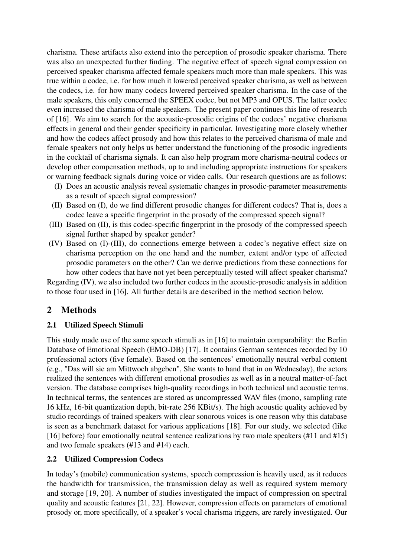charisma. These artifacts also extend into the perception of prosodic speaker charisma. There was also an unexpected further finding. The negative effect of speech signal compression on perceived speaker charisma affected female speakers much more than male speakers. This was true within a codec, i.e. for how much it lowered perceived speaker charisma, as well as between the codecs, i.e. for how many codecs lowered perceived speaker charisma. In the case of the male speakers, this only concerned the SPEEX codec, but not MP3 and OPUS. The latter codec even increased the charisma of male speakers. The present paper continues this line of research of [\[16\]](#page-8-10). We aim to search for the acoustic-prosodic origins of the codecs' negative charisma effects in general and their gender specificity in particular. Investigating more closely whether and how the codecs affect prosody and how this relates to the perceived charisma of male and female speakers not only helps us better understand the functioning of the prosodic ingredients in the cocktail of charisma signals. It can also help program more charisma-neutral codecs or develop other compensation methods, up to and including appropriate instructions for speakers or warning feedback signals during voice or video calls. Our research questions are as follows:

- (I) Does an acoustic analysis reveal systematic changes in prosodic-parameter measurements as a result of speech signal compression?
- (II) Based on (I), do we find different prosodic changes for different codecs? That is, does a codec leave a specific fingerprint in the prosody of the compressed speech signal?
- (III) Based on (II), is this codec-specific fingerprint in the prosody of the compressed speech signal further shaped by speaker gender?
- (IV) Based on (I)-(III), do connections emerge between a codec's negative effect size on charisma perception on the one hand and the number, extent and/or type of affected prosodic parameters on the other? Can we derive predictions from these connections for how other codecs that have not yet been perceptually tested will affect speaker charisma?

Regarding (IV), we also included two further codecs in the acoustic-prosodic analysis in addition to those four used in [\[16\]](#page-8-10). All further details are described in the method section below.

# 2 Methods

# 2.1 Utilized Speech Stimuli

This study made use of the same speech stimuli as in [\[16\]](#page-8-10) to maintain comparability: the Berlin Database of Emotional Speech (EMO-DB) [\[17\]](#page-8-11). It contains German sentences recorded by 10 professional actors (five female). Based on the sentences' emotionally neutral verbal content (e.g., "Das will sie am Mittwoch abgeben", She wants to hand that in on Wednesday), the actors realized the sentences with different emotional prosodies as well as in a neutral matter-of-fact version. The database comprises high-quality recordings in both technical and acoustic terms. In technical terms, the sentences are stored as uncompressed WAV files (mono, sampling rate 16 kHz, 16-bit quantization depth, bit-rate 256 KBit/s). The high acoustic quality achieved by studio recordings of trained speakers with clear sonorous voices is one reason why this database is seen as a benchmark dataset for various applications [\[18\]](#page-8-12). For our study, we selected (like [\[16\]](#page-8-10) before) four emotionally neutral sentence realizations by two male speakers (#11 and #15) and two female speakers (#13 and #14) each.

#### 2.2 Utilized Compression Codecs

In today's (mobile) communication systems, speech compression is heavily used, as it reduces the bandwidth for transmission, the transmission delay as well as required system memory and storage [\[19,](#page-8-13) [20\]](#page-8-14). A number of studies investigated the impact of compression on spectral quality and acoustic features [\[21,](#page-9-0) [22\]](#page-9-1). However, compression effects on parameters of emotional prosody or, more specifically, of a speaker's vocal charisma triggers, are rarely investigated. Our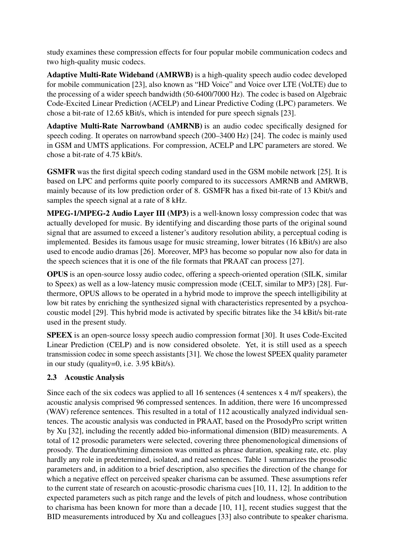study examines these compression effects for four popular mobile communication codecs and two high-quality music codecs.

Adaptive Multi-Rate Wideband (AMRWB) is a high-quality speech audio codec developed for mobile communication [\[23\]](#page-9-2), also known as "HD Voice" and Voice over LTE (VoLTE) due to the processing of a wider speech bandwidth (50-6400/7000 Hz). The codec is based on Algebraic Code-Excited Linear Prediction (ACELP) and Linear Predictive Coding (LPC) parameters. We chose a bit-rate of 12.65 kBit/s, which is intended for pure speech signals [\[23\]](#page-9-2).

Adaptive Multi-Rate Narrowband (AMRNB) is an audio codec specifically designed for speech coding. It operates on narrowband speech (200–3400 Hz) [\[24\]](#page-9-3). The codec is mainly used in GSM and UMTS applications. For compression, ACELP and LPC parameters are stored. We chose a bit-rate of 4.75 kBit/s.

GSMFR was the first digital speech coding standard used in the GSM mobile network [\[25\]](#page-9-4). It is based on LPC and performs quite poorly compared to its successors AMRNB and AMRWB, mainly because of its low prediction order of 8. GSMFR has a fixed bit-rate of 13 Kbit/s and samples the speech signal at a rate of 8 kHz.

MPEG-1/MPEG-2 Audio Layer III (MP3) is a well-known lossy compression codec that was actually developed for music. By identifying and discarding those parts of the original sound signal that are assumed to exceed a listener's auditory resolution ability, a perceptual coding is implemented. Besides its famous usage for music streaming, lower bitrates (16 kBit/s) are also used to encode audio dramas [\[26\]](#page-9-5). Moreover, MP3 has become so popular now also for data in the speech sciences that it is one of the file formats that PRAAT can process [\[27\]](#page-9-6).

OPUS is an open-source lossy audio codec, offering a speech-oriented operation (SILK, similar to Speex) as well as a low-latency music compression mode (CELT, similar to MP3) [\[28\]](#page-9-7). Furthermore, OPUS allows to be operated in a hybrid mode to improve the speech intelligibility at low bit rates by enriching the synthesized signal with characteristics represented by a psychoacoustic model [\[29\]](#page-9-8). This hybrid mode is activated by specific bitrates like the 34 kBit/s bit-rate used in the present study.

SPEEX is an open-source lossy speech audio compression format [\[30\]](#page-9-9). It uses Code-Excited Linear Prediction (CELP) and is now considered obsolete. Yet, it is still used as a speech transmission codec in some speech assistants [\[31\]](#page-9-10). We chose the lowest SPEEX quality parameter in our study (quality=0, i.e. 3.95 kBit/s).

# 2.3 Acoustic Analysis

Since each of the six codecs was applied to all 16 sentences (4 sentences x 4 m/f speakers), the acoustic analysis comprised 96 compressed sentences. In addition, there were 16 uncompressed (WAV) reference sentences. This resulted in a total of 112 acoustically analyzed individual sentences. The acoustic analysis was conducted in PRAAT, based on the ProsodyPro script written by Xu [\[32\]](#page-9-11), including the recently added bio-informational dimension (BID) measurements. A total of 12 prosodic parameters were selected, covering three phenomenological dimensions of prosody. The duration/timing dimension was omitted as phrase duration, speaking rate, etc. play hardly any role in predetermined, isolated, and read sentences. Table [1](#page-4-0) summarizes the prosodic parameters and, in addition to a brief description, also specifies the direction of the change for which a negative effect on perceived speaker charisma can be assumed. These assumptions refer to the current state of research on acoustic-prosodic charisma cues [\[10,](#page-8-4) [11,](#page-8-5) [12\]](#page-8-6). In addition to the expected parameters such as pitch range and the levels of pitch and loudness, whose contribution to charisma has been known for more than a decade [\[10,](#page-8-4) [11\]](#page-8-5), recent studies suggest that the BID measurements introduced by Xu and colleagues [\[33\]](#page-9-12) also contribute to speaker charisma.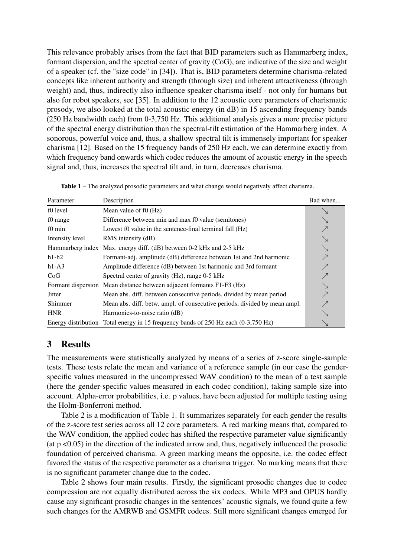This relevance probably arises from the fact that BID parameters such as Hammarberg index, formant dispersion, and the spectral center of gravity (CoG), are indicative of the size and weight of a speaker (cf. the "size code" in [\[34\]](#page-9-13)). That is, BID parameters determine charisma-related concepts like inherent authority and strength (through size) and inherent attractiveness (through weight) and, thus, indirectly also influence speaker charisma itself - not only for humans but also for robot speakers, see [\[35\]](#page-9-14). In addition to the 12 acoustic core parameters of charismatic prosody, we also looked at the total acoustic energy (in dB) in 15 ascending frequency bands (250 Hz bandwidth each) from 0-3,750 Hz. This additional analysis gives a more precise picture of the spectral energy distribution than the spectral-tilt estimation of the Hammarberg index. A sonorous, powerful voice and, thus, a shallow spectral tilt is immensely important for speaker charisma [\[12\]](#page-8-6). Based on the 15 frequency bands of 250 Hz each, we can determine exactly from which frequency band onwards which codec reduces the amount of acoustic energy in the speech signal and, thus, increases the spectral tilt and, in turn, decreases charisma.

<span id="page-4-0"></span>

| Parameter       | Description                                                                            | Bad when                 |
|-----------------|----------------------------------------------------------------------------------------|--------------------------|
| f0 level        | Mean value of f0 (Hz)                                                                  |                          |
| f0 range        | Difference between min and max f0 value (semitones)                                    |                          |
| f0 min          | Lowest f0 value in the sentence-final terminal fall (Hz)                               |                          |
| Intensity level | RMS intensity (dB)                                                                     |                          |
|                 | Hammarberg index Max. energy diff. (dB) between 0-2 kHz and 2-5 kHz                    |                          |
| $h1-h2$         | Formant-adj. amplitude (dB) difference between 1st and 2nd harmonic                    | $\overline{\nearrow}$    |
| $h1-A3$         | Amplitude difference (dB) between 1st harmonic and 3rd formant                         | ↗                        |
| CoG             | Spectral center of gravity (Hz), range 0-5 kHz                                         |                          |
|                 | Formant dispersion Mean distance between adjacent formants F1-F3 (Hz)                  | $\searrow$               |
| Jitter          | Mean abs. diff. between consecutive periods, divided by mean period                    | $\overline{\phantom{a}}$ |
| Shimmer         | Mean abs. diff. betw. ampl. of consecutive periods, divided by mean ampl.              |                          |
| <b>HNR</b>      | Harmonics-to-noise ratio (dB)                                                          |                          |
|                 | Energy distribution Total energy in 15 frequency bands of $250$ Hz each $(0-3,750)$ Hz |                          |

#### 3 Results

The measurements were statistically analyzed by means of a series of z-score single-sample tests. These tests relate the mean and variance of a reference sample (in our case the genderspecific values measured in the uncompressed WAV condition) to the mean of a test sample (here the gender-specific values measured in each codec condition), taking sample size into account. Alpha-error probabilities, i.e. p values, have been adjusted for multiple testing using the Holm-Bonferroni method.

Table [2](#page-5-0) is a modification of Table [1.](#page-4-0) It summarizes separately for each gender the results of the z-score test series across all 12 core parameters. A red marking means that, compared to the WAV condition, the applied codec has shifted the respective parameter value significantly (at p <0.05) in the direction of the indicated arrow and, thus, negatively influenced the prosodic foundation of perceived charisma. A green marking means the opposite, i.e. the codec effect favored the status of the respective parameter as a charisma trigger. No marking means that there is no significant parameter change due to the codec.

Table [2](#page-5-0) shows four main results. Firstly, the significant prosodic changes due to codec compression are not equally distributed across the six codecs. While MP3 and OPUS hardly cause any significant prosodic changes in the sentences' acoustic signals, we found quite a few such changes for the AMRWB and GSMFR codecs. Still more significant changes emerged for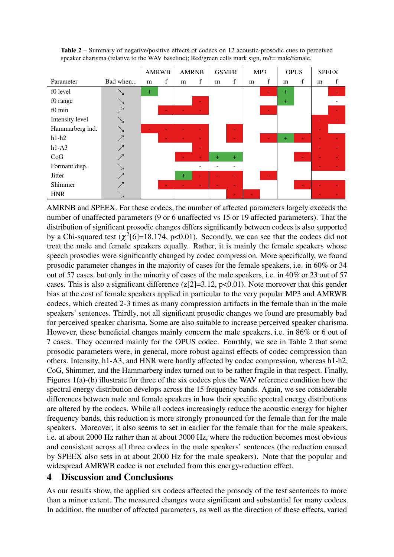

<span id="page-5-0"></span>Table 2 – Summary of negative/positive effects of codecs on 12 acoustic-prosodic cues to perceived speaker charisma (relative to the WAV baseline); Red/green cells mark sign, m/f= male/female.

AMRNB and SPEEX. For these codecs, the number of affected parameters largely exceeds the number of unaffected parameters (9 or 6 unaffected vs 15 or 19 affected parameters). That the distribution of significant prosodic changes differs significantly between codecs is also supported by a Chi-squared test  $(\chi^2[6] = 18.174, \text{ p} < 0.01)$ . Secondly, we can see that the codecs did not treat the male and female speakers equally. Rather, it is mainly the female speakers whose speech prosodies were significantly changed by codec compression. More specifically, we found prosodic parameter changes in the majority of cases for the female speakers, i.e. in 60% or 34 out of 57 cases, but only in the minority of cases of the male speakers, i.e. in 40% or 23 out of 57 cases. This is also a significant difference  $(z[2]=3.12, p<0.01)$ . Note moreover that this gender bias at the cost of female speakers applied in particular to the very popular MP3 and AMRWB codecs, which created 2-3 times as many compression artifacts in the female than in the male speakers' sentences. Thirdly, not all significant prosodic changes we found are presumably bad for perceived speaker charisma. Some are also suitable to increase perceived speaker charisma. However, these beneficial changes mainly concern the male speakers, i.e. in 86% or 6 out of 7 cases. They occurred mainly for the OPUS codec. Fourthly, we see in Table [2](#page-5-0) that some prosodic parameters were, in general, more robust against effects of codec compression than others. Intensity, h1-A3, and HNR were hardly affected by codec compression, whereas h1-h2, CoG, Shimmer, and the Hammarberg index turned out to be rather fragile in that respect. Finally, Figures 1(a)-(b) illustrate for three of the six codecs plus the WAV reference condition how the spectral energy distribution develops across the 15 frequency bands. Again, we see considerable differences between male and female speakers in how their specific spectral energy distributions are altered by the codecs. While all codecs increasingly reduce the acoustic energy for higher frequency bands, this reduction is more strongly pronounced for the female than for the male speakers. Moreover, it also seems to set in earlier for the female than for the male speakers, i.e. at about 2000 Hz rather than at about 3000 Hz, where the reduction becomes most obvious and consistent across all three codecs in the male speakers' sentences (the reduction caused by SPEEX also sets in at about 2000 Hz for the male speakers). Note that the popular and widespread AMRWB codec is not excluded from this energy-reduction effect.

# 4 Discussion and Conclusions

As our results show, the applied six codecs affected the prosody of the test sentences to more than a minor extent. The measured changes were significant and substantial for many codecs. In addition, the number of affected parameters, as well as the direction of these effects, varied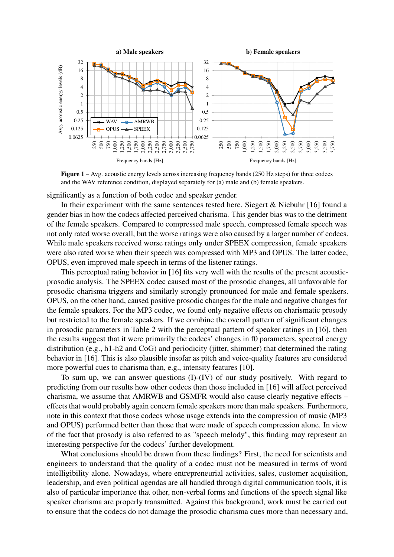

Figure 1 – Avg. acoustic energy levels across increasing frequency bands (250 Hz steps) for three codecs and the WAV reference condition, displayed separately for (a) male and (b) female speakers.

significantly as a function of both codec and speaker gender.

In their experiment with the same sentences tested here, Siegert & Niebuhr [\[16\]](#page-8-10) found a gender bias in how the codecs affected perceived charisma. This gender bias was to the detriment of the female speakers. Compared to compressed male speech, compressed female speech was not only rated worse overall, but the worse ratings were also caused by a larger number of codecs. While male speakers received worse ratings only under SPEEX compression, female speakers were also rated worse when their speech was compressed with MP3 and OPUS. The latter codec, OPUS, even improved male speech in terms of the listener ratings.

This perceptual rating behavior in [\[16\]](#page-8-10) fits very well with the results of the present acousticprosodic analysis. The SPEEX codec caused most of the prosodic changes, all unfavorable for prosodic charisma triggers and similarly strongly pronounced for male and female speakers. OPUS, on the other hand, caused positive prosodic changes for the male and negative changes for the female speakers. For the MP3 codec, we found only negative effects on charismatic prosody but restricted to the female speakers. If we combine the overall pattern of significant changes in prosodic parameters in Table [2](#page-5-0) with the perceptual pattern of speaker ratings in [\[16\]](#page-8-10), then the results suggest that it were primarily the codecs' changes in f0 parameters, spectral energy distribution (e.g., h1-h2 and CoG) and periodicity (jitter, shimmer) that determined the rating behavior in [\[16\]](#page-8-10). This is also plausible insofar as pitch and voice-quality features are considered more powerful cues to charisma than, e.g., intensity features [\[10\]](#page-8-4).

To sum up, we can answer questions (I)-(IV) of our study positively. With regard to predicting from our results how other codecs than those included in [\[16\]](#page-8-10) will affect perceived charisma, we assume that AMRWB and GSMFR would also cause clearly negative effects – effects that would probably again concern female speakers more than male speakers. Furthermore, note in this context that those codecs whose usage extends into the compression of music (MP3 and OPUS) performed better than those that were made of speech compression alone. In view of the fact that prosody is also referred to as "speech melody", this finding may represent an interesting perspective for the codecs' further development.

What conclusions should be drawn from these findings? First, the need for scientists and engineers to understand that the quality of a codec must not be measured in terms of word intelligibility alone. Nowadays, where entrepreneurial activities, sales, customer acquisition, leadership, and even political agendas are all handled through digital communication tools, it is also of particular importance that other, non-verbal forms and functions of the speech signal like speaker charisma are properly transmitted. Against this background, work must be carried out to ensure that the codecs do not damage the prosodic charisma cues more than necessary and,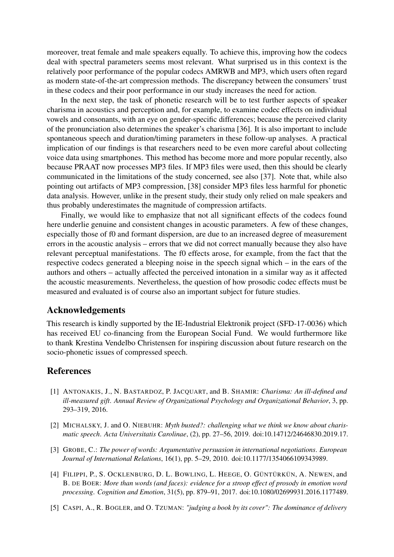moreover, treat female and male speakers equally. To achieve this, improving how the codecs deal with spectral parameters seems most relevant. What surprised us in this context is the relatively poor performance of the popular codecs AMRWB and MP3, which users often regard as modern state-of-the-art compression methods. The discrepancy between the consumers' trust in these codecs and their poor performance in our study increases the need for action.

In the next step, the task of phonetic research will be to test further aspects of speaker charisma in acoustics and perception and, for example, to examine codec effects on individual vowels and consonants, with an eye on gender-specific differences; because the perceived clarity of the pronunciation also determines the speaker's charisma [\[36\]](#page-9-15). It is also important to include spontaneous speech and duration/timing parameters in these follow-up analyses. A practical implication of our findings is that researchers need to be even more careful about collecting voice data using smartphones. This method has become more and more popular recently, also because PRAAT now processes MP3 files. If MP3 files were used, then this should be clearly communicated in the limitations of the study concerned, see also [\[37\]](#page-9-16). Note that, while also pointing out artifacts of MP3 compression, [\[38\]](#page-9-17) consider MP3 files less harmful for phonetic data analysis. However, unlike in the present study, their study only relied on male speakers and thus probably underestimates the magnitude of compression artifacts.

Finally, we would like to emphasize that not all significant effects of the codecs found here underlie genuine and consistent changes in acoustic parameters. A few of these changes, especially those of f0 and formant dispersion, are due to an increased degree of measurement errors in the acoustic analysis – errors that we did not correct manually because they also have relevant perceptual manifestations. The f0 effects arose, for example, from the fact that the respective codecs generated a bleeping noise in the speech signal which – in the ears of the authors and others – actually affected the perceived intonation in a similar way as it affected the acoustic measurements. Nevertheless, the question of how prosodic codec effects must be measured and evaluated is of course also an important subject for future studies.

#### Acknowledgements

This research is kindly supported by the IE-Industrial Elektronik project (SFD-17-0036) which has received EU co-financing from the European Social Fund. We would furthermore like to thank Krestina Vendelbo Christensen for inspiring discussion about future research on the socio-phonetic issues of compressed speech.

#### References

- <span id="page-7-0"></span>[1] ANTONAKIS, J., N. BASTARDOZ, P. JACQUART, and B. SHAMIR: *Charisma: An ill-defined and ill-measured gift*. *Annual Review of Organizational Psychology and Organizational Behavior*, 3, pp. 293–319, 2016.
- <span id="page-7-1"></span>[2] MICHALSKY, J. and O. NIEBUHR: *Myth busted?: challenging what we think we know about charismatic speech*. *Acta Universitatis Carolinae*, (2), pp. 27–56, 2019. doi[:10.14712/24646830.2019.17.](https://doi.org/10.14712/24646830.2019.17)
- <span id="page-7-2"></span>[3] GROBE, C.: *The power of words: Argumentative persuasion in international negotiations*. *European Journal of International Relations*, 16(1), pp. 5–29, 2010. doi[:10.1177/1354066109343989.](https://doi.org/10.1177/1354066109343989)
- <span id="page-7-3"></span>[4] FILIPPI, P., S. OCKLENBURG, D. L. BOWLING, L. HEEGE, O. GÜNTÜRKÜN, A. NEWEN, and B. DE BOER: *More than words (and faces): evidence for a stroop effect of prosody in emotion word processing*. *Cognition and Emotion*, 31(5), pp. 879–91, 2017. doi[:10.1080/02699931.2016.1177489.](https://doi.org/10.1080/02699931.2016.1177489)
- <span id="page-7-4"></span>[5] CASPI, A., R. BOGLER, and O. TZUMAN: *"judging a book by its cover": The dominance of delivery*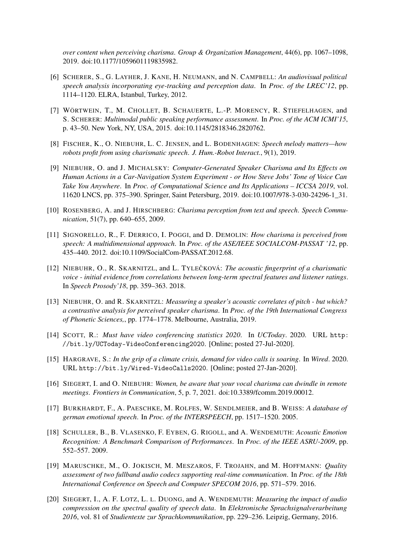*over content when perceiving charisma*. *Group & Organization Management*, 44(6), pp. 1067–1098, 2019. doi[:10.1177/1059601119835982.](https://doi.org/10.1177/1059601119835982)

- <span id="page-8-0"></span>[6] SCHERER, S., G. LAYHER, J. KANE, H. NEUMANN, and N. CAMPBELL: *An audiovisual political speech analysis incorporating eye-tracking and perception data*. In *Proc. of the LREC'12*, pp. 1114–1120. ELRA, Istanbul, Turkey, 2012.
- <span id="page-8-1"></span>[7] WÖRTWEIN, T., M. CHOLLET, B. SCHAUERTE, L.-P. MORENCY, R. STIEFELHAGEN, and S. SCHERER: *Multimodal public speaking performance assessment*. In *Proc. of the ACM ICMI'15*, p. 43–50. New York, NY, USA, 2015. doi[:10.1145/2818346.2820762.](https://doi.org/10.1145/2818346.2820762)
- <span id="page-8-2"></span>[8] FISCHER, K., O. NIEBUHR, L. C. JENSEN, and L. BODENHAGEN: *Speech melody matters—how robots profit from using charismatic speech*. *J. Hum.-Robot Interact.*, 9(1), 2019.
- <span id="page-8-3"></span>[9] NIEBUHR, O. and J. MICHALSKY: *Computer-Generated Speaker Charisma and Its Effects on Human Actions in a Car-Navigation System Experiment - or How Steve Jobs' Tone of Voice Can Take You Anywhere*. In *Proc. of Computational Science and Its Applications – ICCSA 2019*, vol. 11620 LNCS, pp. 375–390. Springer, Saint Petersburg, 2019. doi[:10.1007/978-3-030-24296-1\\_31.](https://doi.org/10.1007/978-3-030-24296-1_31)
- <span id="page-8-4"></span>[10] ROSENBERG, A. and J. HIRSCHBERG: *Charisma perception from text and speech*. *Speech Communication*, 51(7), pp. 640–655, 2009.
- <span id="page-8-5"></span>[11] SIGNORELLO, R., F. DERRICO, I. POGGI, and D. DEMOLIN: *How charisma is perceived from speech: A multidimensional approach*. In *Proc. of the ASE/IEEE SOCIALCOM-PASSAT '12*, pp. 435–440. 2012. doi[:10.1109/SocialCom-PASSAT.2012.68.](https://doi.org/10.1109/SocialCom-PASSAT.2012.68)
- <span id="page-8-6"></span>[12] NIEBUHR, O., R. SKARNITZL, and L. TYLEČKOVÁ: *The acoustic fingerprint of a charismatic voice - initial evidence from correlations between long-term spectral features and listener ratings*. In *Speech Prosody'18*, pp. 359–363. 2018.
- <span id="page-8-7"></span>[13] NIEBUHR, O. and R. SKARNITZL: *Measuring a speaker's acoustic correlates of pitch - but which? a contrastive analysis for perceived speaker charisma*. In *Proc. of the 19th International Congress of Phonetic Sciences,*, pp. 1774–1778. Melbourne, Australia, 2019.
- <span id="page-8-8"></span>[14] SCOTT, R.: *Must have video conferencing statistics 2020*. In *UCToday*. 2020. URL [http:](http://bit.ly/UCToday-VideoConferencing2020) [//bit.ly/UCToday-VideoConferencing2020](http://bit.ly/UCToday-VideoConferencing2020). [Online; posted 27-Jul-2020].
- <span id="page-8-9"></span>[15] HARGRAVE, S.: *In the grip of a climate crisis, demand for video calls is soaring*. In *Wired*. 2020. URL <http://bit.ly/Wired-VideoCalls2020>. [Online; posted 27-Jan-2020].
- <span id="page-8-10"></span>[16] SIEGERT, I. and O. NIEBUHR: *Women, be aware that your vocal charisma can dwindle in remote meetings*. *Frontiers in Communication*, 5, p. 7, 2021. doi[:10.3389/fcomm.2019.00012.](https://doi.org/10.3389/fcomm.2019.00012)
- <span id="page-8-11"></span>[17] BURKHARDT, F., A. PAESCHKE, M. ROLFES, W. SENDLMEIER, and B. WEISS: *A database of german emotional speech*. In *Proc. of the INTERSPEECH*, pp. 1517–1520. 2005.
- <span id="page-8-12"></span>[18] SCHULLER, B., B. VLASENKO, F. EYBEN, G. RIGOLL, and A. WENDEMUTH: *Acoustic Emotion Recognition: A Benchmark Comparison of Performances*. In *Proc. of the IEEE ASRU-2009*, pp. 552–557. 2009.
- <span id="page-8-13"></span>[19] MARUSCHKE, M., O. JOKISCH, M. MESZAROS, F. TROJAHN, and M. HOFFMANN: *Quality assessment of two fullband audio codecs supporting real-time communication*. In *Proc. of the 18th International Conference on Speech and Computer SPECOM 2016*, pp. 571–579. 2016.
- <span id="page-8-14"></span>[20] SIEGERT, I., A. F. LOTZ, L. L. DUONG, and A. WENDEMUTH: *Measuring the impact of audio compression on the spectral quality of speech data*. In *Elektronische Sprachsignalverarbeitung 2016*, vol. 81 of *Studientexte zur Sprachkommunikation*, pp. 229–236. Leipzig, Germany, 2016.